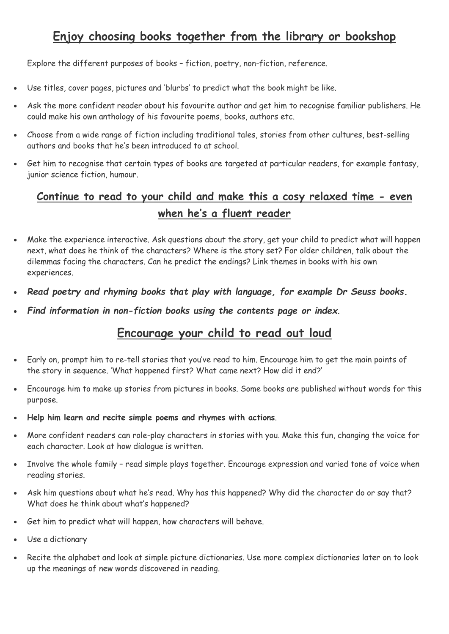## **Enjoy choosing books together from the library or bookshop**

Explore the different purposes of books – fiction, poetry, non-fiction, reference.

- Use titles, cover pages, pictures and 'blurbs' to predict what the book might be like.
- Ask the more confident reader about his favourite author and get him to recognise familiar publishers. He could make his own anthology of his favourite poems, books, authors etc.
- Choose from a wide range of fiction including traditional tales, stories from other cultures, best-selling authors and books that he's been introduced to at school.
- Get him to recognise that certain types of books are targeted at particular readers, for example fantasy, junior science fiction, humour.

## **Continue to read to your child and make this a cosy relaxed time - even when he's a fluent reader**

- Make the experience interactive. Ask questions about the story, get your child to predict what will happen next, what does he think of the characters? Where is the story set? For older children, talk about the dilemmas facing the characters. Can he predict the endings? Link themes in books with his own experiences.
- *Read poetry and rhyming books that play with language, for example Dr Seuss books.*
- *Find information in non-fiction books using the contents page or index.*

## **Encourage your child to read out loud**

- Early on, prompt him to re-tell stories that you've read to him. Encourage him to get the main points of the story in sequence. 'What happened first? What came next? How did it end?'
- Encourage him to make up stories from pictures in books. Some books are published without words for this purpose.
- **Help him learn and recite simple poems and rhymes with actions**.
- More confident readers can role-play characters in stories with you. Make this fun, changing the voice for each character. Look at how dialogue is written.
- Involve the whole family read simple plays together. Encourage expression and varied tone of voice when reading stories.
- Ask him questions about what he's read. Why has this happened? Why did the character do or say that? What does he think about what's happened?
- Get him to predict what will happen, how characters will behave.
- Use a dictionary
- Recite the alphabet and look at simple picture dictionaries. Use more complex dictionaries later on to look up the meanings of new words discovered in reading.